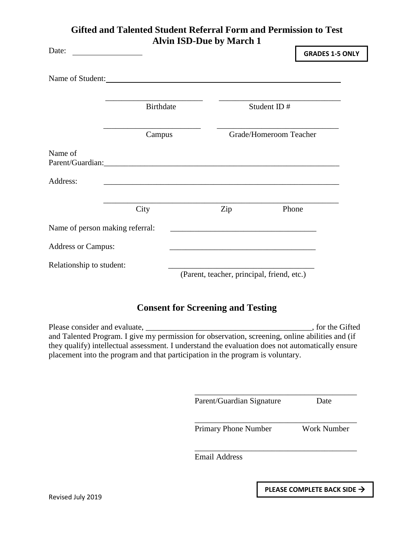## **Gifted and Talented Student Referral Form and Permission to Test Alvin ISD-Due by March 1**

| Date:                           |                  | AIVIII LOD-DUC DY IVIAI CII T                                                                                                                                                                                                                                                         |                                                                                                                       | <b>GRADES 1-5 ONLY</b> |  |
|---------------------------------|------------------|---------------------------------------------------------------------------------------------------------------------------------------------------------------------------------------------------------------------------------------------------------------------------------------|-----------------------------------------------------------------------------------------------------------------------|------------------------|--|
|                                 |                  | Name of Student:<br><u>Name</u> of Student:                                                                                                                                                                                                                                           |                                                                                                                       |                        |  |
|                                 | <b>Birthdate</b> |                                                                                                                                                                                                                                                                                       | Student ID#                                                                                                           |                        |  |
|                                 | Campus           |                                                                                                                                                                                                                                                                                       | Grade/Homeroom Teacher                                                                                                |                        |  |
| Name of                         |                  | Parent/Guardian:                                                                                                                                                                                                                                                                      |                                                                                                                       |                        |  |
| Address:                        |                  |                                                                                                                                                                                                                                                                                       |                                                                                                                       |                        |  |
|                                 | City             | Zip                                                                                                                                                                                                                                                                                   | Phone                                                                                                                 |                        |  |
| Name of person making referral: |                  |                                                                                                                                                                                                                                                                                       |                                                                                                                       |                        |  |
| <b>Address or Campus:</b>       |                  |                                                                                                                                                                                                                                                                                       | <u> 1980 - Johann Barbara, martin amerikan basar dan berasal dalam basar dalam basar dalam basar dalam basar dala</u> |                        |  |
| Relationship to student:        |                  | (Parent, teacher, principal, friend, etc.)                                                                                                                                                                                                                                            |                                                                                                                       |                        |  |
|                                 |                  | <b>Consent for Screening and Testing</b>                                                                                                                                                                                                                                              |                                                                                                                       |                        |  |
|                                 |                  | and Talented Program. I give my permission for observation, screening, online abilities and (if<br>they qualify) intellectual assessment. I understand the evaluation does not automatically ensure<br>placement into the program and that participation in the program is voluntary. |                                                                                                                       |                        |  |

Parent/Guardian Signature Date

\_\_\_\_\_\_\_\_\_\_\_\_\_\_\_\_\_\_\_\_\_\_\_\_\_\_\_\_\_\_\_\_\_\_\_\_\_\_\_\_

\_\_\_\_\_\_\_\_\_\_\_\_\_\_\_\_\_\_\_\_\_\_\_\_\_\_\_\_\_\_\_\_\_\_\_\_\_\_\_\_

\_\_\_\_\_\_\_\_\_\_\_\_\_\_\_\_\_\_\_\_\_\_\_\_\_\_\_\_\_\_\_\_\_\_\_\_\_\_\_\_

Primary Phone Number Work Number

Email Address